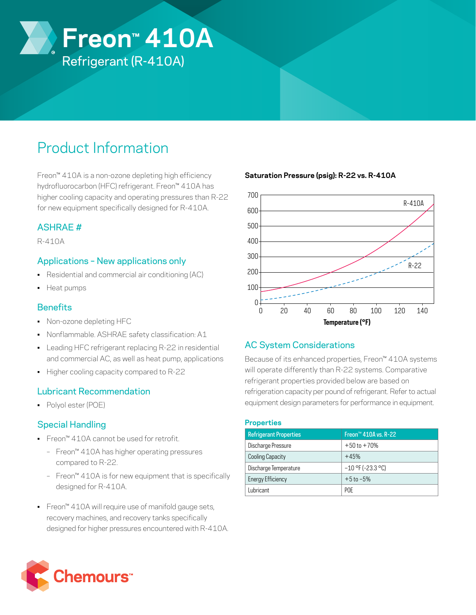

# Product Information

Freon™ 410A is a non-ozone depleting high efficiency hydrofluorocarbon (HFC) refrigerant. Freon™ 410A has higher cooling capacity and operating pressures than R-22 for new equipment specifically designed for R-410A.

# ASHRAE #

R-410A

## Applications – New applications only

- Residential and commercial air conditioning (AC)
- Heat pumps

### **Benefits**

- Non-ozone depleting HFC
- Nonflammable. ASHRAE safety classification: A1
- Leading HFC refrigerant replacing R-22 in residential and commercial AC, as well as heat pump, applications
- Higher cooling capacity compared to R-22

### Lubricant Recommendation

• Polyol ester (POE)

# Special Handling

- Freon™ 410A cannot be used for retrofit.
	- Freon™ 410A has higher operating pressures compared to R-22.
	- Freon™ 410A is for new equipment that is specifically designed for R-410A.
- Freon™ 410A will require use of manifold gauge sets, recovery machines, and recovery tanks specifically designed for higher pressures encountered with R-410A.

### **Saturation Pressure (psig): R-22 vs. R-410A**



# AC System Considerations

Because of its enhanced properties, Freon™ 410A systems will operate differently than R-22 systems. Comparative refrigerant properties provided below are based on refrigeration capacity per pound of refrigerant. Refer to actual equipment design parameters for performance in equipment.

#### **Properties**

| <b>Refrigerant Properties</b> | Freon <sup>™</sup> 410A vs. R-22 |
|-------------------------------|----------------------------------|
| Discharge Pressure            | $+50$ to $+70%$                  |
| Cooling Capacity              | $+45%$                           |
| Discharge Temperature         | $-10$ °F (-23.3 °C)              |
| Energy Efficiency             | $+5$ to $-5%$                    |
| Lubricant                     | <b>POF</b>                       |
|                               |                                  |